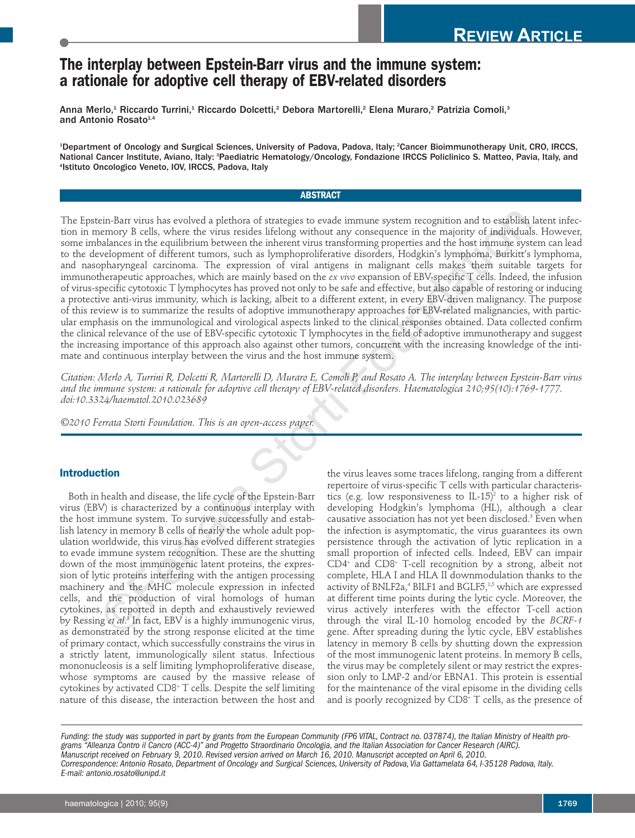# **The interplay between Epstein-Barr virus and the immune system: a rationale for adoptive cell therapy of EBV-related disorders**

Anna Merlo,<sup>1</sup> Riccardo Turrini,<sup>1</sup> Riccardo Dolcetti,<sup>2</sup> Debora Martorelli,<sup>2</sup> Elena Muraro,<sup>2</sup> Patrizia Comoli,<sup>3</sup> and Antonio Rosato<sup>1,4</sup>

1 Department of Oncology and Surgical Sciences, University of Padova, Padova, Italy; 2 Cancer Bioimmunotherapy Unit, CRO, IRCCS, National Cancer Institute, Aviano, Italy: <sup>a</sup>Paediatric Hematology/Oncology, Fondazione IRCCS Policlinico S. Matteo, Pavia, Italy, and 4 Istituto Oncologico Veneto, IOV, IRCCS, Padova, Italy

#### **ABSTRACT**

The Epstein-Barr virus has evolved a plethora of strategies to evade immune system recognition and to establish latent infection in memory B cells, where the virus resides lifelong without any consequence in the majority of individuals. However, some imbalances in the equilibrium between the inherent virus transforming properties and the host immune system can lead to the development of different tumors, such as lymphoproliferative disorders, Hodgkin's lymphoma, Burkitt's lymphoma, and nasopharyngeal carcinoma. The expression of viral antigens in malignant cells makes them suitable targets for immunotherapeutic approaches, which are mainly based on the *ex vivo* expansion of EBV-specific T cells. Indeed, the infusion of virus-specific cytotoxic T lymphocytes has proved not only to be safe and effective, but also capable of restoring or inducing a protective anti-virus immunity, which is lacking, albeit to a different extent, in every EBV-driven malignancy. The purpose of this review is to summarize the results of adoptive immunotherapy approaches for EBV-related malignancies, with particular emphasis on the immunological and virological aspects linked to the clinical responses obtained. Data collected confirm the clinical relevance of the use of EBV-specific cytotoxic T lymphocytes in the field of adoptive immunotherapy and suggest the increasing importance of this approach also against other tumors, concurrent with the increasing knowledge of the intimate and continuous interplay between the virus and the host immune system. ein-Barr virus has evolved a plethora of strategies to evade immune system recognition and to establish<br>nearnory B cells, where the virus resides lifelong without any consequence in the majory of individual<br>nearnor of int

*Citation: Merlo A, Turrini R, Dolcetti R, Martorelli D, Muraro E, Comoli P, and Rosato A. The interplay between Epstein-Barr virus and the immune system: a rationale for adoptive cell therapy of EBV-related disorders. Haematologica 210;95(10):1769-1777. doi:10.3324/haematol.2010.023689* 

*©2010 Ferrata Storti Foundation. This is an open-access paper.* 

# **Introduction**

Both in health and disease, the life cycle of the Epstein-Barr virus (EBV) is characterized by a continuous interplay with the host immune system. To survive successfully and establish latency in memory B cells of nearly the whole adult population worldwide, this virus has evolved different strategies to evade immune system recognition. These are the shutting down of the most immunogenic latent proteins, the expression of lytic proteins interfering with the antigen processing machinery and the MHC molecule expression in infected cells, and the production of viral homologs of human cytokines, as reported in depth and exhaustively reviewed by Ressing *et al*. <sup>1</sup> In fact, EBV is a highly immunogenic virus, as demonstrated by the strong response elicited at the time of primary contact, which successfully constrains the virus in a strictly latent, immunologically silent status. Infectious mononucleosis is a self limiting lymphoproliferative disease, whose symptoms are caused by the massive release of cytokines by activated CD8+ T cells. Despite the self limiting nature of this disease, the interaction between the host and

the virus leaves some traces lifelong, ranging from a different repertoire of virus-specific T cells with particular characteristics (e.g. low responsiveness to  $IL-15$ )<sup>2</sup> to a higher risk of developing Hodgkin's lymphoma (HL), although a clear causative association has not yet been disclosed.<sup>3</sup> Even when the infection is asymptomatic, the virus guarantees its own persistence through the activation of lytic replication in a small proportion of infected cells. Indeed, EBV can impair CD4+ and CD8+ T-cell recognition by a strong, albeit not complete, HLA I and HLA II downmodulation thanks to the activity of BNLF2a,<sup>4</sup> BILF1 and BGLF5,<sup>1,5</sup> which are expressed at different time points during the lytic cycle. Moreover, the virus actively interferes with the effector T-cell action through the viral IL-10 homolog encoded by the *BCRF-1* gene. After spreading during the lytic cycle, EBV establishes latency in memory B cells by shutting down the expression of the most immunogenic latent proteins. In memory B cells, the virus may be completely silent or may restrict the expression only to LMP-2 and/or EBNA1. This protein is essential for the maintenance of the viral episome in the dividing cells and is poorly recognized by CD8<sup>+</sup> T cells, as the presence of

*Funding: the study was supported in part by grants from the European Community (FP6 VITAL, Contract no. 037874), the Italian Ministry of Health programs "Alleanza Contro il Cancro (ACC-4)" and Progetto Straordinario Oncologia, and the Italian Association for Cancer Research (AIRC). Manuscript received on February 9, 2010. Revised version arrived on March 16, 2010. Manuscript accepted on April 6, 2010. Correspondence: Antonio Rosato, Department of Oncology and Surgical Sciences, University of Padova, Via Gattamelata 64, I-35128 Padova, Italy. E-mail: antonio.rosato@unipd.it*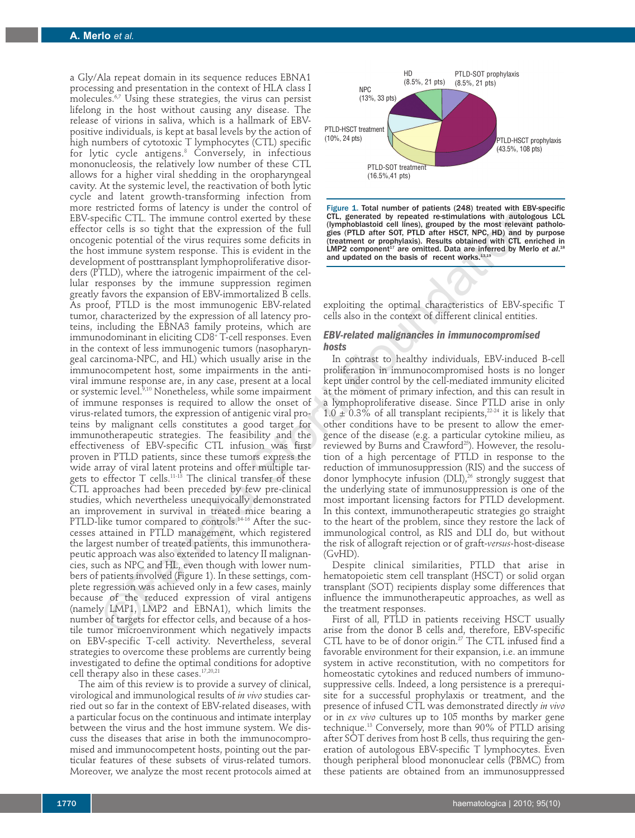a Gly/Ala repeat domain in its sequence reduces EBNA1 processing and presentation in the context of HLA class I molecules.<sup>6,7</sup> Using these strategies, the virus can persist lifelong in the host without causing any disease. The release of virions in saliva, which is a hallmark of EBVpositive individuals, is kept at basal levels by the action of high numbers of cytotoxic T lymphocytes (CTL) specific for lytic cycle antigens.<sup>8</sup> Conversely, in infectious mononucleosis, the relatively low number of these CTL allows for a higher viral shedding in the oropharyngeal cavity. At the systemic level, the reactivation of both lytic cycle and latent growth-transforming infection from more restricted forms of latency is under the control of EBV-specific CTL. The immune control exerted by these effector cells is so tight that the expression of the full oncogenic potential of the virus requires some deficits in the host immune system response. This is evident in the development of posttransplant lymphoproliferative disorders (PTLD), where the iatrogenic impairment of the cellular responses by the immune suppression regimen greatly favors the expansion of EBV-immortalized B cells. As proof, PTLD is the most immunogenic EBV-related tumor, characterized by the expression of all latency proteins, including the EBNA3 family proteins, which are immunodominant in eliciting CD8+ T-cell responses. Even in the context of less immunogenic tumors (nasopharyngeal carcinoma-NPC, and HL) which usually arise in the immunocompetent host, some impairments in the antiviral immune response are, in any case, present at a local or systemic level.<sup>9,10</sup> Nonetheless, while some impairment of immune responses is required to allow the onset of virus-related tumors, the expression of antigenic viral proteins by malignant cells constitutes a good target for immunotherapeutic strategies. The feasibility and the effectiveness of EBV-specific CTL infusion was first proven in PTLD patients, since these tumors express the wide array of viral latent proteins and offer multiple targets to effector  $T$  cells.<sup>11-13</sup> The clinical transfer of these CTL approaches had been preceded by few pre-clinical studies, which nevertheless unequivocally demonstrated an improvement in survival in treated mice bearing a PTLD-like tumor compared to controls.<sup>14-16</sup> After the successes attained in PTLD management, which registered the largest number of treated patients, this immunotherapeutic approach was also extended to latency II malignancies, such as NPC and HL, even though with lower numbers of patients involved (Figure 1). In these settings, complete regression was achieved only in a few cases, mainly because of the reduced expression of viral antigens (namely LMP1, LMP2 and EBNA1), which limits the number of targets for effector cells, and because of a hostile tumor microenvironment which negatively impacts on EBV-specific T-cell activity. Nevertheless, several strategies to overcome these problems are currently being investigated to define the optimal conditions for adoptive cell therapy also in these cases.17,20,21 self: CTL. The immune counter decrease of the generate is the period energy of the self. CTL. The immune counter of the storting of the storting of the storting of the storting in the store is the storting of the storting

The aim of this review is to provide a survey of clinical, virological and immunological results of *in vivo* studies carried out so far in the context of EBV-related diseases, with a particular focus on the continuous and intimate interplay between the virus and the host immune system. We discuss the diseases that arise in both the immunocompromised and immunocompetent hosts, pointing out the particular features of these subsets of virus-related tumors. Moreover, we analyze the most recent protocols aimed at



Figure 1. Total number of patients (248) treated with EBV-specific CTL, generated by repeated re-stimulations with autologous LCL (lymphoblastoid cell lines), grouped by the most relevant pathologies (PTLD after SOT, PTLD after HSCT, NPC, HD) and by purpose (treatment or prophylaxis). Results obtained with CTL enriched in LMP2 component<sup>17</sup> are omitted. Data are inferred by Merlo et al.<sup>18</sup> and updated on the basis of recent works.13,19

exploiting the optimal characteristics of EBV-specific T cells also in the context of different clinical entities.

#### *EBV-related malignancies in immunocompromised hosts*

In contrast to healthy individuals, EBV-induced B-cell proliferation in immunocompromised hosts is no longer kept under control by the cell-mediated immunity elicited at the moment of primary infection, and this can result in a lymphoproliferative disease. Since PTLD arise in only  $1.0 \pm 0.3\%$  of all transplant recipients,<sup>22-24</sup> it is likely that other conditions have to be present to allow the emergence of the disease (e.g. a particular cytokine milieu, as reviewed by Burns and Crawford<sup>25</sup>). However, the resolution of a high percentage of PTLD in response to the reduction of immunosuppression (RIS) and the success of donor lymphocyte infusion  $(DLI),<sup>26</sup>$  strongly suggest that the underlying state of immunosuppression is one of the most important licensing factors for PTLD development. In this context, immunotherapeutic strategies go straight to the heart of the problem, since they restore the lack of immunological control, as RIS and DLI do, but without the risk of allograft rejection or of graft-*versus*-host-disease (GvHD).

Despite clinical similarities, PTLD that arise in hematopoietic stem cell transplant (HSCT) or solid organ transplant (SOT) recipients display some differences that influence the immunotherapeutic approaches, as well as the treatment responses.

First of all, PTLD in patients receiving HSCT usually arise from the donor B cells and, therefore, EBV-specific CTL have to be of donor origin.<sup>27</sup> The CTL infused find a favorable environment for their expansion, i.e. an immune system in active reconstitution, with no competitors for homeostatic cytokines and reduced numbers of immunosuppressive cells. Indeed, a long persistence is a prerequisite for a successful prophylaxis or treatment, and the presence of infused CTL was demonstrated directly *in vivo* or in *ex vivo* cultures up to 105 months by marker gene technique.13 Conversely, more than 90% of PTLD arising after SOT derives from host B cells, thus requiring the generation of autologous EBV-specific T lymphocytes. Even though peripheral blood mononuclear cells (PBMC) from these patients are obtained from an immunosuppressed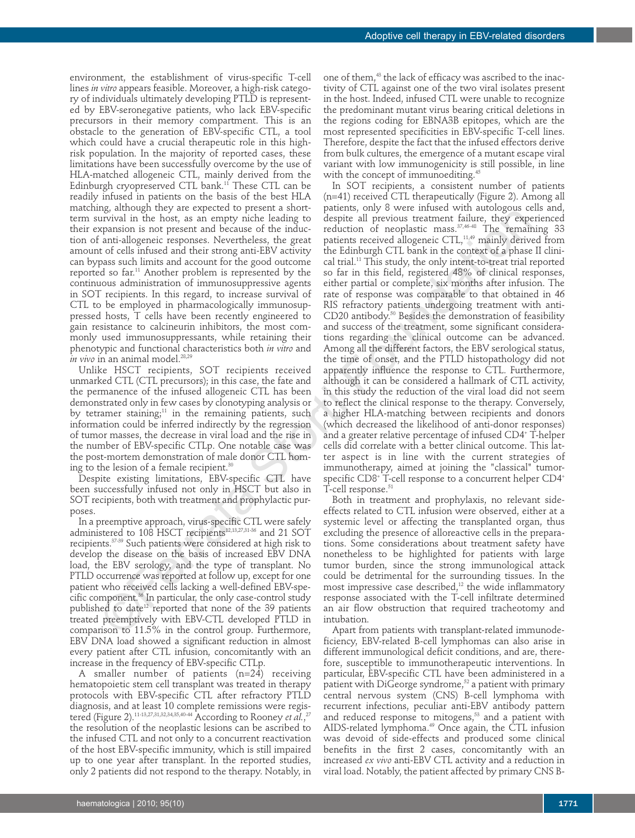environment, the establishment of virus-specific T-cell lines *in vitro* appears feasible. Moreover, a high-risk category of individuals ultimately developing PTLD is represented by EBV-seronegative patients, who lack EBV-specific precursors in their memory compartment. This is an obstacle to the generation of EBV-specific CTL, a tool which could have a crucial therapeutic role in this highrisk population. In the majority of reported cases, these limitations have been successfully overcome by the use of HLA-matched allogeneic CTL, mainly derived from the Edinburgh cryopreserved CTL bank.<sup>11</sup> These CTL can be readily infused in patients on the basis of the best HLA matching, although they are expected to present a shortterm survival in the host, as an empty niche leading to their expansion is not present and because of the induction of anti-allogeneic responses. Nevertheless, the great amount of cells infused and their strong anti-EBV activity can bypass such limits and account for the good outcome reported so far.<sup>11</sup> Another problem is represented by the continuous administration of immunosuppressive agents in SOT recipients. In this regard, to increase survival of CTL to be employed in pharmacologically immunosuppressed hosts, T cells have been recently engineered to gain resistance to calcineurin inhibitors, the most commonly used immunosuppressants, while retaining their phenotypic and functional characteristics both *in vitro* and *in vivo* in an animal model.<sup>28,29</sup>

Unlike HSCT recipients, SOT recipients received unmarked CTL (CTL precursors); in this case, the fate and the permanence of the infused allogeneic CTL has been demonstrated only in few cases by clonotyping analysis or by tetramer staining;<sup>11</sup> in the remaining patients, such information could be inferred indirectly by the regression of tumor masses, the decrease in viral load and the rise in the number of EBV-specific CTLp. One notable case was the post-mortem demonstration of male donor CTL homing to the lesion of a female recipient. $30$ 

Despite existing limitations, EBV-specific CTL have been successfully infused not only in HSCT but also in SOT recipients, both with treatment and prophylactic purposes.

In a preemptive approach, virus-specific CTL were safely administered to 108 HSCT recipients<sup>12,13,27,31-36</sup> and 21 SOT recipients.37-39 Such patients were considered at high risk to develop the disease on the basis of increased EBV DNA load, the EBV serology, and the type of transplant. No PTLD occurrence was reported at follow up, except for one patient who received cells lacking a well-defined EBV-specific component.36 In particular, the only case-control study published to date<sup>12</sup> reported that none of the 39 patients treated preemptively with EBV-CTL developed PTLD in comparison to 11.5% in the control group. Furthermore, EBV DNA load showed a significant reduction in almost every patient after CTL infusion, concomitantly with an increase in the frequency of EBV-specific CTLp.

A smaller number of patients (n=24) receiving hematopoietic stem cell transplant was treated in therapy protocols with EBV-specific CTL after refractory PTLD diagnosis, and at least 10 complete remissions were registered (Figure 2).<sup>11-13,27,31,32,34,35,40-44</sup> According to Rooney *et al.,<sup>27</sup>* the resolution of the neoplastic lesions can be ascribed to the infused CTL and not only to a concurrent reactivation of the host EBV-specific immunity, which is still impaired up to one year after transplant. In the reported studies, only 2 patients did not respond to the therapy. Notably, in

one of them,<sup>43</sup> the lack of efficacy was ascribed to the inactivity of CTL against one of the two viral isolates present in the host. Indeed, infused CTL were unable to recognize the predominant mutant virus bearing critical deletions in the regions coding for EBNA3B epitopes, which are the most represented specificities in EBV-specific T-cell lines. Therefore, despite the fact that the infused effectors derive from bulk cultures, the emergence of a mutant escape viral variant with low immunogenicity is still possible, in line with the concept of immunoediting.<sup>45</sup>

In SOT recipients, a consistent number of patients (n=41) received CTL therapeutically (Figure 2). Among all patients, only 8 were infused with autologous cells and, despite all previous treatment failure, they experienced reduction of neoplastic mass.37,46-48 The remaining 33 patients received allogeneic CTL,<sup>11,49</sup> mainly derived from the Edinburgh CTL bank in the context of a phase II clinical trial.11 This study, the only intent-to-treat trial reported so far in this field, registered 48% of clinical responses, either partial or complete, six months after infusion. The rate of response was comparable to that obtained in 46 RIS refractory patients undergoing treatment with anti-CD20 antibody.<sup>50</sup> Besides the demonstration of feasibility and success of the treatment, some significant considerations regarding the clinical outcome can be advanced. Among all the different factors, the EBV serological status, the time of onset, and the PTLD histopathology did not apparently influence the response to CTL. Furthermore, although it can be considered a hallmark of CTL activity, in this study the reduction of the viral load did not seem to reflect the clinical response to the therapy. Conversely, a higher HLA-matching between recipients and donors (which decreased the likelihood of anti-donor responses) and a greater relative percentage of infused CD4+ T-helper cells did correlate with a better clinical outcome. This latter aspect is in line with the current strategies of immunotherapy, aimed at joining the "classical" tumorspecific CD8<sup>+</sup> T-cell response to a concurrent helper CD4<sup>+</sup> T-cell response.<sup>51</sup> ony on the host as a meaning philolic lacking to decorate in the constraint follows in the host as a mean symmation in the bytwo state and physical provious transmit follows in the symmatic interaction, when the symmatic

Both in treatment and prophylaxis, no relevant sideeffects related to CTL infusion were observed, either at a systemic level or affecting the transplanted organ, thus excluding the presence of alloreactive cells in the preparations. Some considerations about treatment safety have nonetheless to be highlighted for patients with large tumor burden, since the strong immunological attack could be detrimental for the surrounding tissues. In the most impressive case described, $12$  the wide inflammatory response associated with the T-cell infiltrate determined an air flow obstruction that required tracheotomy and intubation.

Apart from patients with transplant-related immunodeficiency, EBV-related B-cell lymphomas can also arise in different immunological deficit conditions, and are, therefore, susceptible to immunotherapeutic interventions. In particular, EBV-specific CTL have been administered in a patient with DiGeorge syndrome,<sup>52</sup> a patient with primary central nervous system (CNS) B-cell lymphoma with recurrent infections, peculiar anti-EBV antibody pattern and reduced response to mitogens,<sup>53</sup> and a patient with AIDS-related lymphoma.<sup>49</sup> Once again, the CTL infusion was devoid of side-effects and produced some clinical benefits in the first 2 cases, concomitantly with an increased *ex vivo* anti-EBV CTL activity and a reduction in viral load. Notably, the patient affected by primary CNS B-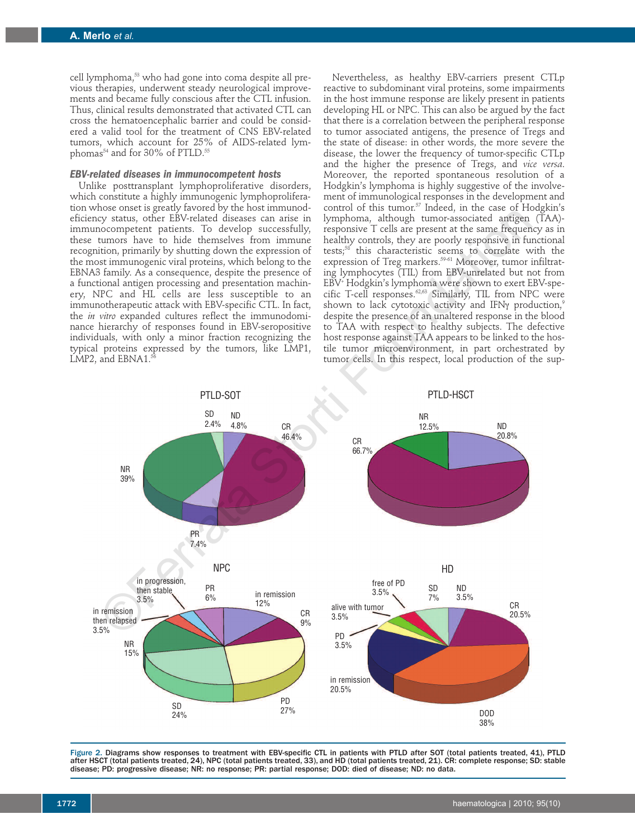cell lymphoma,<sup>53</sup> who had gone into coma despite all previous therapies, underwent steady neurological improvements and became fully conscious after the CTL infusion. Thus, clinical results demonstrated that activated CTL can cross the hematoencephalic barrier and could be considered a valid tool for the treatment of CNS EBV-related tumors, which account for 25% of AIDS-related lymphomas<sup>54</sup> and for 30% of PTLD.<sup>55</sup>

#### *EBV-related diseases in immunocompetent hosts*

Unlike posttransplant lymphoproliferative disorders, which constitute a highly immunogenic lymphoproliferation whose onset is greatly favored by the host immunodeficiency status, other EBV-related diseases can arise in immunocompetent patients. To develop successfully, these tumors have to hide themselves from immune recognition, primarily by shutting down the expression of the most immunogenic viral proteins, which belong to the EBNA3 family. As a consequence, despite the presence of a functional antigen processing and presentation machinery, NPC and HL cells are less susceptible to an immunotherapeutic attack with EBV-specific CTL. In fact, the *in vitro* expanded cultures reflect the immunodominance hierarchy of responses found in EBV-seropositive individuals, with only a minor fraction recognizing the typical proteins expressed by the tumors, like LMP1, LMP2, and EBNA1.<sup>56</sup>

Nevertheless, as healthy EBV-carriers present CTLp reactive to subdominant viral proteins, some impairments in the host immune response are likely present in patients developing HL or NPC. This can also be argued by the fact that there is a correlation between the peripheral response to tumor associated antigens, the presence of Tregs and the state of disease: in other words, the more severe the disease, the lower the frequency of tumor-specific CTLp and the higher the presence of Tregs, and *vice versa*. Moreover, the reported spontaneous resolution of a Hodgkin's lymphoma is highly suggestive of the involvement of immunological responses in the development and control of this tumor.<sup>57</sup> Indeed, in the case of Hodgkin's lymphoma, although tumor-associated antigen (TAA) responsive T cells are present at the same frequency as in healthy controls, they are poorly responsive in functional tests;58 this characteristic seems to correlate with the expression of Treg markers.<sup>59-61</sup> Moreover, tumor infiltrating lymphocytes (TIL) from EBV-unrelated but not from EBV+ Hodgkin's lymphoma were shown to exert EBV-specific T-cell responses.62,63 Similarly, TIL from NPC were shown to lack cytotoxic activity and IFNγ production,<sup>9</sup> despite the presence of an unaltered response in the blood to TAA with respect to healthy subjects. The defective host response against TAA appears to be linked to the hostile tumor microenvironment, in part orchestrated by tumor cells. In this respect, local production of the sup-



Figure 2. Diagrams show responses to treatment with EBV-specific CTL in patients with PTLD after SOT (total patients treated, 41), PTLD after HSCT (total patients treated, 24), NPC (total patients treated, 33), and HD (total patients treated, 21). CR: complete response; SD: stable disease; PD: progressive disease; NR: no response; PR: partial response; DOD: died of disease; ND: no data.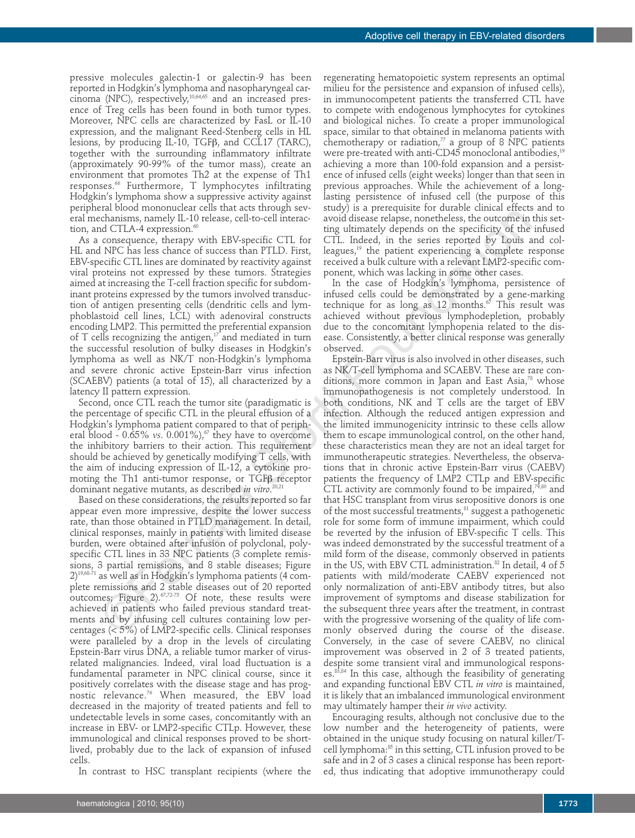pressive molecules galectin-1 or galectin-9 has been reported in Hodgkin's lymphoma and nasopharyngeal carcinoma (NPC), respectively,<sup>10,64,65</sup> and an increased presence of Treg cells has been found in both tumor types. Moreover, NPC cells are characterized by FasL or IL-10 expression, and the malignant Reed-Stenberg cells in HL lesions, by producing IL-10, TGFβ, and CCL17 (TARC), together with the surrounding inflammatory infiltrate (approximately 90-99% of the tumor mass), create an environment that promotes Th2 at the expense of Th1 responses.66 Furthermore, T lymphocytes infiltrating Hodgkin's lymphoma show a suppressive activity against peripheral blood mononuclear cells that acts through several mechanisms, namely IL-10 release, cell-to-cell interaction, and CTLA-4 expression. $60$ 

As a consequence, therapy with EBV-specific CTL for HL and NPC has less chance of success than PTLD. First, EBV-specific CTL lines are dominated by reactivity against viral proteins not expressed by these tumors. Strategies aimed at increasing the T-cell fraction specific for subdominant proteins expressed by the tumors involved transduction of antigen presenting cells (dendritic cells and lymphoblastoid cell lines, LCL) with adenoviral constructs encoding LMP2. This permitted the preferential expansion of  $T$  cells recognizing the antigen,<sup>17</sup> and mediated in turn the successful resolution of bulky diseases in Hodgkin's lymphoma as well as NK/T non-Hodgkin's lymphoma and severe chronic active Epstein-Barr virus infection (SCAEBV) patients (a total of 15), all characterized by a latency II pattern expression.

Second, once CTL reach the tumor site (paradigmatic is the percentage of specific CTL in the pleural effusion of a Hodgkin's lymphoma patient compared to that of peripheral blood -  $0.65\%$  *vs*.  $0.001\%$ ,<sup> $\sigma$ </sup> they have to overcome the inhibitory barriers to their action. This requirement should be achieved by genetically modifying T cells, with the aim of inducing expression of IL-12, a cytokine promoting the Th1 anti-tumor response, or TGFβ receptor dominant negative mutants, as described *in vitro*. 20,21

Based on these considerations, the results reported so far appear even more impressive, despite the lower success rate, than those obtained in PTLD management. In detail, clinical responses, mainly in patients with limited disease burden, were obtained after infusion of polyclonal, polyspecific CTL lines in 33 NPC patients (3 complete remissions, 3 partial remissions, and 8 stable diseases; Figure  $2)^{19,68-71}$  as well as in Hodgkin's lymphoma patients (4 complete remissions and 2 stable diseases out of 20 reported outcomes; Figure 2). $67,72-75$  Of note, these results were achieved in patients who failed previous standard treatments and by infusing cell cultures containing low percentages (< 5%) of LMP2-specific cells. Clinical responses were paralleled by a drop in the levels of circulating Epstein-Barr virus DNA, a reliable tumor marker of virusrelated malignancies. Indeed, viral load fluctuation is a fundamental parameter in NPC clinical course, since it positively correlates with the disease stage and has prognostic relevance.76 When measured, the EBV load decreased in the majority of treated patients and fell to undetectable levels in some cases, concomitantly with an increase in EBV- or LMP2-specific CTLp. However, these immunological and clinical responses proved to be shortlived, probably due to the lack of expansion of infused cells.

In contrast to HSC transplant recipients (where the

regenerating hematopoietic system represents an optimal milieu for the persistence and expansion of infused cells), in immunocompetent patients the transferred CTL have to compete with endogenous lymphocytes for cytokines and biological niches. To create a proper immunological space, similar to that obtained in melanoma patients with chemotherapy or radiation, $\frac{7}{7}$  a group of 8 NPC patients were pre-treated with anti-CD45 monoclonal antibodies,<sup>19</sup> achieving a more than 100-fold expansion and a persistence of infused cells (eight weeks) longer than that seen in previous approaches. While the achievement of a longlasting persistence of infused cell (the purpose of this study) is a prerequisite for durable clinical effects and to avoid disease relapse, nonetheless, the outcome in this setting ultimately depends on the specificity of the infused CTL. Indeed, in the series reported by Louis and colleagues,<sup>19</sup> the patient experiencing a complete response received a bulk culture with a relevant LMP2-specific component, which was lacking in some other cases.

In the case of Hodgkin's lymphoma, persistence of infused cells could be demonstrated by a gene-marking technique for as long as 12 months. $\sigma$  This result was achieved without previous lymphodepletion, probably due to the concomitant lymphopenia related to the disease. Consistently, a better clinical response was generally observed.

Epstein-Barr virus is also involved in other diseases, such as NK/T-cell lymphoma and SCAEBV. These are rare conditions, more common in Japan and East Asia, $78$  whose immunopathogenesis is not completely understood. In both conditions, NK and T cells are the target of EBV infection. Although the reduced antigen expression and the limited immunogenicity intrinsic to these cells allow them to escape immunological control, on the other hand, these characteristics mean they are not an ideal target for immunotherapeutic strategies. Nevertheless, the observations that in chronic active Epstein-Barr virus (CAEBV) patients the frequency of LMP2 CTLp and EBV-specific CTL activity are commonly found to be impaired, $79,80$  and that HSC transplant from virus seropositive donors is one of the most successful treatments, $81$  suggest a pathogenetic role for some form of immune impairment, which could be reverted by the infusion of EBV-specific T cells. This was indeed demonstrated by the successful treatment of a mild form of the disease, commonly observed in patients in the US, with EBV CTL administration.<sup>82</sup> In detail, 4 of 5 patients with mild/moderate CAEBV experienced not only normalization of anti-EBV antibody titres, but also improvement of symptoms and disease stabilization for the subsequent three years after the treatment, in contrast with the progressive worsening of the quality of life commonly observed during the course of the disease. Conversely, in the case of severe CAEBV, no clinical improvement was observed in 2 of 3 treated patients, despite some transient viral and immunological responses.<sup>83,84</sup> In this case, although the feasibility of generating and expanding functional EBV CTL *in vitro* is maintained, it is likely that an imbalanced immunological environment may ultimately hamper their *in vivo* activity. Exhimited parallel and the method base and distance and distance the parallel and the controllel and the controllel and the controllel and the controllel and the controllel and the controllel and the controllel and the co

> Encouraging results, although not conclusive due to the low number and the heterogeneity of patients, were obtained in the unique study focusing on natural killer/Tcell lymphoma:<sup>85</sup> in this setting, CTL infusion proved to be safe and in 2 of 3 cases a clinical response has been reported, thus indicating that adoptive immunotherapy could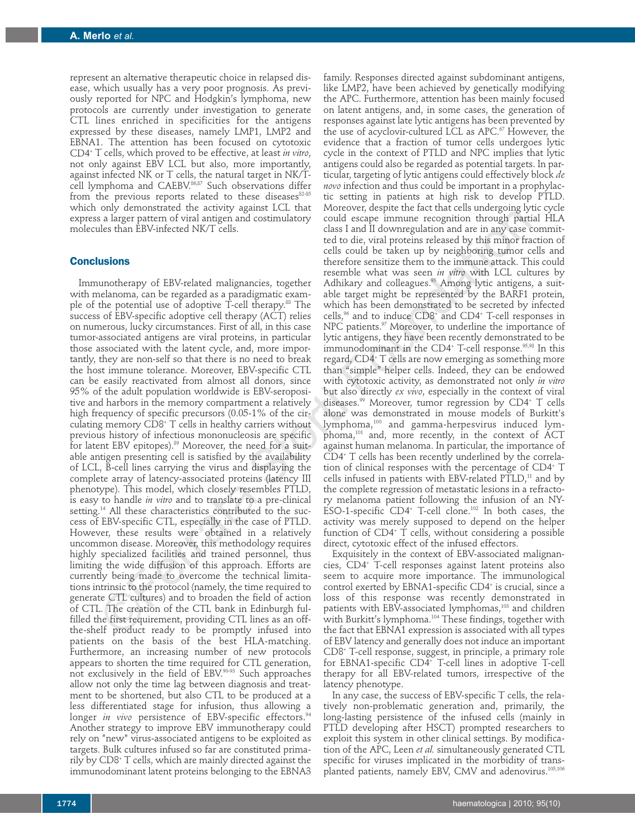represent an alternative therapeutic choice in relapsed disease, which usually has a very poor prognosis. As previously reported for NPC and Hodgkin's lymphoma, new protocols are currently under investigation to generate CTL lines enriched in specificities for the antigens expressed by these diseases, namely LMP1, LMP2 and EBNA1. The attention has been focused on cytotoxic CD4+ T cells, which proved to be effective, at least *in vitro*, not only against EBV LCL but also, more importantly, against infected NK or T cells, the natural target in NK/Tcell lymphoma and CAEBV.<sup>86,87</sup> Such observations differ from the previous reports related to these diseases<sup>82-85</sup> which only demonstrated the activity against LCL that express a larger pattern of viral antigen and costimulatory molecules than EBV-infected NK/T cells.

## **Conclusions**

Immunotherapy of EBV-related malignancies, together with melanoma, can be regarded as a paradigmatic example of the potential use of adoptive T-cell therapy.<sup>88</sup> The success of EBV-specific adoptive cell therapy (ACT) relies on numerous, lucky circumstances. First of all, in this case tumor-associated antigens are viral proteins, in particular those associated with the latent cycle, and, more importantly, they are non-self so that there is no need to break the host immune tolerance. Moreover, EBV-specific CTL can be easily reactivated from almost all donors, since 95% of the adult population worldwide is EBV-seropositive and harbors in the memory compartment a relatively high frequency of specific precursors (0.05-1% of the circulating memory CD8+ T cells in healthy carriers without previous history of infectious mononucleosis are specific for latent EBV epitopes).<sup>89</sup> Moreover, the need for a suitable antigen presenting cell is satisfied by the availability of LCL, B-cell lines carrying the virus and displaying the complete array of latency-associated proteins (latency III phenotype). This model, which closely resembles PTLD, is easy to handle *in vitro* and to translate to a pre-clinical setting.<sup>14</sup> All these characteristics contributed to the success of EBV-specific CTL, especially in the case of PTLD. However, these results were obtained in a relatively uncommon disease. Moreover, this methodology requires highly specialized facilities and trained personnel, thus limiting the wide diffusion of this approach. Efforts are currently being made to overcome the technical limitations intrinsic to the protocol (namely, the time required to generate CTL cultures) and to broaden the field of action of CTL. The creation of the CTL bank in Edinburgh fulfilled the first requirement, providing CTL lines as an offthe-shelf product ready to be promptly infused into patients on the basis of the best HLA-matching. Furthermore, an increasing number of new protocols appears to shorten the time required for CTL generation, not exclusively in the field of EBV.90-93 Such approaches allow not only the time lag between diagnosis and treatment to be shortened, but also CTL to be produced at a less differentiated stage for infusion, thus allowing a longer *in vivo* persistence of EBV-specific effectors.<sup>94</sup> Another strategy to improve EBV immunotherapy could rely on "new" virus-associated antigens to be exploited as targets. Bulk cultures infused so far are constituted primarily by CD8+ T cells, which are mainly directed against the immunodominant latent proteins belonging to the EBNA3 s altree metric with a metric continuous continuous continuous continuous continuous continuous continuous continuous continuous continuous continuous continuous continuous continuous continuous continuous continuous cont

family. Responses directed against subdominant antigens, like LMP2, have been achieved by genetically modifying the APC. Furthermore, attention has been mainly focused on latent antigens, and, in some cases, the generation of responses against late lytic antigens has been prevented by the use of acyclovir-cultured LCL as  $APC.^{\sigma}$  However, the evidence that a fraction of tumor cells undergoes lytic cycle in the context of PTLD and NPC implies that lytic antigens could also be regarded as potential targets. In particular, targeting of lytic antigens could effectively block *de novo* infection and thus could be important in a prophylactic setting in patients at high risk to develop PTLD. Moreover, despite the fact that cells undergoing lytic cycle could escape immune recognition through partial HLA class I and II downregulation and are in any case committed to die, viral proteins released by this minor fraction of cells could be taken up by neighboring tumor cells and therefore sensitize them to the immune attack. This could resemble what was seen *in vitro* with LCL cultures by Adhikary and colleagues.<sup>95</sup> Among lytic antigens, a suitable target might be represented by the BARF1 protein, which has been demonstrated to be secreted by infected cells,96 and to induce CD8+ and CD4+ T-cell responses in NPC patients.<sup>97</sup> Moreover, to underline the importance of lytic antigens, they have been recently demonstrated to be immunodominant in the  $CD4$ <sup>+</sup> T-cell response.<sup>95,98</sup> In this regard, CD4+ T cells are now emerging as something more than "simple" helper cells. Indeed, they can be endowed with cytotoxic activity, as demonstrated not only *in vitro* but also directly *ex vivo*, especially in the context of viral diseases.<sup>99</sup> Moreover, tumor regression by  $CD4$ <sup>+</sup> T cells alone was demonstrated in mouse models of Burkitt's lymphoma,100 and gamma-herpesvirus induced lymphoma,101 and, more recently, in the context of ACT against human melanoma. In particular, the importance of CD4+ T cells has been recently underlined by the correlation of clinical responses with the percentage of CD4<sup>+</sup> T cells infused in patients with EBV-related  $\text{PTLD}$ ,<sup>11</sup> and by the complete regression of metastatic lesions in a refractory melanoma patient following the infusion of an NY-ESO-1-specific  $CD4$ <sup>+</sup> T-cell clone.<sup>102</sup> In both cases, the activity was merely supposed to depend on the helper function of  $CD4$ <sup>+</sup>  $\dot{T}$  cells, without considering a possible direct, cytotoxic effect of the infused effectors.

Exquisitely in the context of EBV-associated malignancies, CD4+ T-cell responses against latent proteins also seem to acquire more importance. The immunological control exerted by EBNA1-specific CD4<sup>+</sup> is crucial, since a loss of this response was recently demonstrated in patients with EBV-associated lymphomas,<sup>103</sup> and children with Burkitt's lymphoma.<sup>104</sup> These findings, together with the fact that EBNA1 expression is associated with all types of EBV latency and generally does not induce an important CD8+ T-cell response, suggest, in principle, a primary role for EBNA1-specific CD4<sup>+</sup> T-cell lines in adoptive T-cell therapy for all EBV-related tumors, irrespective of the latency phenotype.

In any case, the success of EBV-specific T cells, the relatively non-problematic generation and, primarily, the long-lasting persistence of the infused cells (mainly in PTLD developing after HSCT) prompted researchers to exploit this system in other clinical settings. By modification of the APC, Leen *et al.* simultaneously generated CTL specific for viruses implicated in the morbidity of transplanted patients, namely EBV, CMV and adenovirus.105,106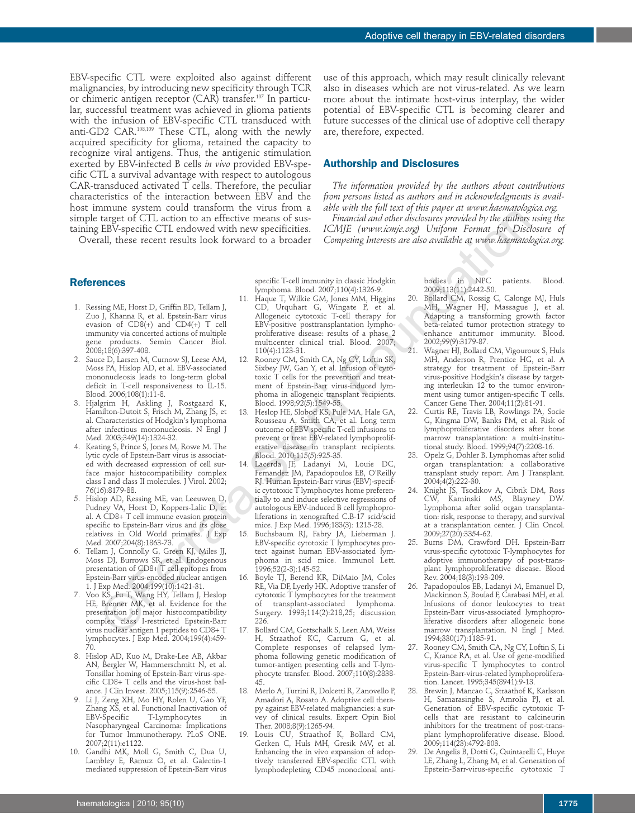EBV-specific CTL were exploited also against different malignancies, by introducing new specificity through TCR or chimeric antigen receptor (CAR) transfer.107 In particular, successful treatment was achieved in glioma patients with the infusion of EBV-specific CTL transduced with anti-GD2 CAR.108,109 These CTL, along with the newly acquired specificity for glioma, retained the capacity to recognize viral antigens. Thus, the antigenic stimulation exerted by EBV-infected B cells *in vivo* provided EBV-specific CTL a survival advantage with respect to autologous CAR-transduced activated T cells. Therefore, the peculiar characteristics of the interaction between EBV and the host immune system could transform the virus from a simple target of CTL action to an effective means of sustaining EBV-specific CTL endowed with new specificities.

Overall, these recent results look forward to a broader

use of this approach, which may result clinically relevant also in diseases which are not virus-related. As we learn more about the intimate host-virus interplay, the wider potential of EBV-specific CTL is becoming clearer and future successes of the clinical use of adoptive cell therapy are, therefore, expected.

# **Authorship and Disclosures**

*The information provided by the authors about contributions from persons listed as authors and in acknowledgments is available with the full text of this paper at www.haematologica.org.*

*Financial and other disclosures provided by the authors using the ICMJE (www.icmje.org) Uniform Format for Disclosure of Competing Interests are also available at www.haematologica.org.*

### **References**

- 1. Ressing ME, Horst D, Griffin BD, Tellam J, Zuo J, Khanna R, et al. Epstein-Barr virus evasion of CD8(+) and CD4(+) T cell immunity via concerted actions of multiple gene products. Semin Cancer Biol. 2008;18(6):397-408.
- 2. Sauce D, Larsen M, Curnow SJ, Leese AM, Moss PA, Hislop AD, et al. EBV-associated mononucleosis leads to long-term global deficit in T-cell responsiveness to IL-15. Blood. 2006;108(1):11-8.
- 3. Hjalgrim H, Askling J, Rostgaard K, Hamilton-Dutoit S, Frisch M, Zhang JS, et al. Characteristics of Hodgkin's lymphoma after infectious mononucleosis. N Engl J Med. 2003;349(14):1324-32.
- 4. Keating S, Prince S, Jones M, Rowe M. The lytic cycle of Epstein-Barr virus is associated with decreased expression of cell surface major histocompatibility complex class I and class II molecules. J Virol. 2002; 76(16):8179-88.
- 5. Hislop AD, Ressing ME, van Leeuwen D, Pudney VA, Horst D, Koppers-Lalic D, et al. A CD8+ T cell immune evasion protein specific to Epstein-Barr virus and its close relatives in Old World primates. J Exp Med. 2007;204(8):1863-73.
- 6. Tellam J, Connolly G, Green KJ, Miles JJ, Moss DJ, Burrows SR, et al. Endogenous presentation of CD8+ T cell epitopes from Epstein-Barr virus-encoded nuclear antigen 1. J Exp Med. 2004;199(10):1421-31.
- 7. Voo KS, Fu T, Wang HY, Tellam J, Heslop HE, Brenner MK, et al. Evidence for the presentation of major histocompatibility complex class I-restricted Epstein-Barr virus nuclear antigen 1 peptides to CD8+ T lymphocytes. J Exp Med. 2004;199(4):459- 70.
- 8. Hislop AD, Kuo M, Drake-Lee AB, Akbar AN, Bergler W, Hammerschmitt N, et al. Tonsillar homing of Epstein-Barr virus-specific CD8+ T cells and the virus-host balance. J Clin Invest. 2005;115(9):2546-55.
- 9. Li J, Zeng XH, Mo HY, Rolen U, Gao YF, Zhang XS, et al. Functional Inactivation of<br>EBV-Specific T-Lymphocytes in T-Lymphocytes in Nasopharyngeal Carcinoma: Implications for Tumor Immunotherapy. PLoS ONE. 2007;2(11):e1122.
- 10. Gandhi MK, Moll G, Smith C, Dua U, Lambley E, Ramuz O, et al. Galectin-1 mediated suppression of Epstein-Barr virus

specific T-cell immunity in classic Hodgkin lymphoma. Blood. 2007;110(4):1326-9.

- 11. Haque T, Wilkie GM, Jones MM, Higgins CD, Urquhart G, Wingate P, et al. Allogeneic cytotoxic T-cell therapy for EBV-positive posttransplantation lymphoproliferative disease: results of a phase 2 multicenter clinical trial. Blood. 2007; 110(4):1123-31.
- 12. Rooney CM, Smith CA, Ng CY, Loftin SK, Sixbey JW, Gan Y, et al. Infusion of cytotoxic T cells for the prevention and treatment of Epstein-Barr virus-induced lymphoma in allogeneic transplant recipients. Blood. 1998;92(5):1549-55.
- 13. Heslop HE, Slobod KS, Pule MA, Hale GA, Rousseau A, Smith CA, et al. Long term outcome of EBV specific T-cell infusions to prevent or treat EBV-related lymphoproliferative disease in transplant recipients. Blood. 2010;115(5):925-35.
- 14. Lacerda JF, Ladanyi M, Louie DC, Fernandez JM, Papadopoulos EB, O'Reilly RJ. Human Epstein-Barr virus (EBV)-specific cytotoxic T lymphocytes home preferentially to and induce selective regressions of autologous EBV-induced B cell lymphoproliferations in xenografted C.B-17 scid/scid mice. J Exp Med. 1996;183(3): 1215-28. ©Ferrata Storti Foundation
	- 15. Buchsbaum RJ, Fabry JA, Lieberman J. EBV-specific cytotoxic T lymphocytes protect against human EBV-associated lymphoma in scid mice. Immunol Lett. 1996;52(2-3):145-52.
	- 16. Boyle TJ, Berend KR, DiMaio JM, Coles RE, Via DF, Lyerly HK. Adoptive transfer of cytotoxic T lymphocytes for the treatment of transplant-associated lymphoma. Surgery. 1993;114(2):218,25; discussion 226.
	- 17. Bollard CM, Gottschalk S, Leen AM, Weiss H, Straathof KC, Carrum G, et al. Complete responses of relapsed lymphoma following genetic modification of tumor-antigen presenting cells and T-lymphocyte transfer. Blood. 2007;110(8):2838- 45.
	- 18. Merlo A, Turrini R, Dolcetti R, Zanovello P, Amadori A, Rosato A. Adoptive cell therapy against EBV-related malignancies: a survey of clinical results. Expert Opin Biol Ther. 2008;8(9):1265-94.
	- 19. Louis CU, Straathof K, Bollard CM, Gerken C, Huls MH, Gresik MV, et al. Enhancing the in vivo expansion of adoptively transferred EBV-specific CTL with lymphodepleting CD45 monoclonal anti-

bodies in NPC patients. Blood. 2009;113(11):2442-50.

- 20. Bollard CM, Rossig C, Calonge MJ, Huls MH, Wagner HJ, Massague J, et al. Adapting a transforming growth factor beta-related tumor protection strategy to enhance antitumor immunity. Blood. 2002;99(9):3179-87.
- 21. Wagner HJ, Bollard CM, Vigouroux S, Huls MH, Anderson R, Prentice HG, et al. A strategy for treatment of Epstein-Barr virus-positive Hodgkin's disease by targeting interleukin 12 to the tumor environment using tumor antigen-specific T cells. Cancer Gene Ther. 2004;11(2):81-91.
- 22. Curtis RE, Travis LB, Rowlings PA, Socie G, Kingma DW, Banks PM, et al. Risk of lymphoproliferative disorders after bone marrow transplantation: a multi-institutional study. Blood. 1999;94(7):2208-16.
- Opelz G, Dohler B. Lymphomas after solid organ transplantation: a collaborative transplant study report. Am J Transplant. 2004;4(2):222-30.
- Knight JS, Tsodikov A, Cibrik DM, Ross CW, Kaminski MS, Blayney DW. Lymphoma after solid organ transplantation: risk, response to therapy, and survival at a transplantation center. J Clin Oncol. 2009;27(20):3354-62.
- 25. Burns DM, Crawford DH. Epstein-Barr virus-specific cytotoxic T-lymphocytes for adoptive immunotherapy of post-transplant lymphoproliferative disease. Blood Rev. 2004;18(3):193-209.
- 26. Papadopoulos EB, Ladanyi M, Emanuel D, Mackinnon S, Boulad F, Carabasi MH, et al. Infusions of donor leukocytes to treat Epstein-Barr virus-associated lymphoproliferative disorders after allogeneic bone marrow transplantation. N Engl J Med. 1994;330(17):1185-91.
- 27. Rooney CM, Smith CA, Ng CY, Loftin S, Li C, Krance RA, et al. Use of gene-modified virus-specific T lymphocytes to control Epstein-Barr-virus-related lymphoproliferation. Lancet. 1995;345(8941):9-13.
- 28. Brewin J, Mancao C, Straathof K, Karlsson H, Samarasinghe S, Amrolia PJ, et al. Generation of EBV-specific cytotoxic Tcells that are resistant to calcineurin inhibitors for the treatment of post-transplant lymphoproliferative disease. Blood. 2009;114(23):4792-803.
- 29. De Angelis B, Dotti G, Quintarelli C, Huye LE, Zhang L, Zhang M, et al. Generation of Epstein-Barr-virus-specific cytotoxic T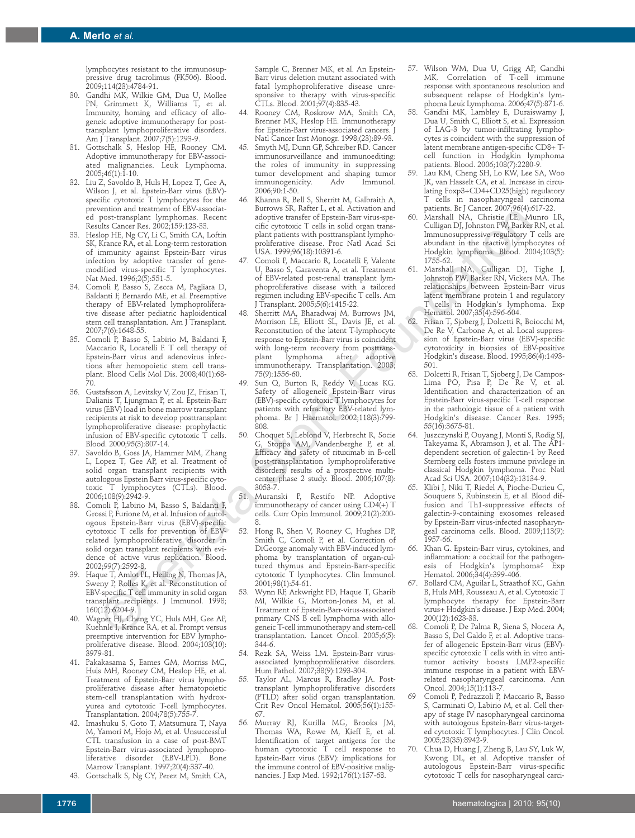lymphocytes resistant to the immunosuppressive drug tacrolimus (FK506). Blood. 2009;114(23):4784-91.

- 30. Gandhi MK, Wilkie GM, Dua U, Mollee PN, Grimmett K, Williams T, et al. Immunity, homing and efficacy of allogeneic adoptive immunotherapy for posttransplant lymphoproliferative disorders. Am J Transplant. 2007;7(5):1293-9.
- 31. Gottschalk S, Heslop HE, Rooney CM. Adoptive immunotherapy for EBV-associated malignancies. Leuk Lymphoma. 2005;46(1):1-10.
- 32. Liu Z, Savoldo B, Huls H, Lopez T, Gee A, Wilson J, et al. Epstein-Barr virus (EBV) specific cytotoxic T lymphocytes for the prevention and treatment of EBV-associated post-transplant lymphomas. Recent Results Cancer Res. 2002;159:123-33.
- 33. Heslop HE, Ng CY, Li C, Smith CA, Loftin SK, Krance RA, et al. Long-term restoration of immunity against Epstein-Barr virus infection by adoptive transfer of genemodified virus-specific T lymphocytes. Nat Med. 1996;2(5):551-5.
- 34. Comoli P, Basso S, Zecca M, Pagliara D, Baldanti F, Bernardo ME, et al. Preemptive therapy of EBV-related lymphoproliferative disease after pediatric haploidentical stem cell transplantation. Am J Transplant.  $2007.7(6)$  $1648-55$
- 35. Comoli P, Basso S, Labirio M, Baldanti F, Maccario R, Locatelli F. T cell therapy of Epstein-Barr virus and adenovirus infections after hemopoietic stem cell transplant. Blood Cells Mol Dis. 2008;40(1):68-  $\frac{1}{2}0$ .
- 36. Gustafsson A, Levitsky V, Zou JZ, Frisan T, Dalianis T, Ljungman P, et al. Epstein-Barr virus (EBV) load in bone marrow transplant recipients at risk to develop posttransplant lymphoproliferative disease: prophylactic infusion of EBV-specific cytotoxic T cells. Blood. 2000;95(3):807-14.
- 37. Savoldo B, Goss JA, Hammer MM, Zhang L, Lopez T, Gee AP, et al. Treatment of solid organ transplant recipients with autologous Epstein Barr virus-specific cytotoxic T lymphocytes (CTLs). Blood. 2006;108(9):2942-9.
- 38. Comoli P, Labirio M, Basso S, Baldanti F, Grossi P, Furione M, et al. Infusion of autologous Epstein-Barr virus (EBV)-specific cytotoxic T cells for prevention of EBVrelated lymphoproliferative disorder in solid organ transplant recipients with evidence of active virus replication. Blood. 2002;99(7):2592-8.
- Haque T, Amlot PL, Helling N, Thomas JA, Sweny P, Rolles K, et al. Reconstitution of EBV-specific T cell immunity in solid organ transplant recipients. J Immunol. 1998; 160(12):6204-9.
- 40. Wagner HJ, Cheng YC, Huls MH, Gee AP, Kuehnle I, Krance RA, et al. Prompt versus preemptive intervention for EBV lymphoproliferative disease. Blood. 2004;103(10): .<br>3979-81.
- 41. Pakakasama S, Eames GM, Morriss MC, Huls MH, Rooney CM, Heslop HE, et al. Treatment of Epstein-Barr virus lymphoproliferative disease after hematopoietic stem-cell transplantation with hydroxyurea and cytotoxic T-cell lymphocytes. Transplantation. 2004;78(5):755-7.
- 42. Imashuku S, Goto T, Matsumura T, Naya M, Yamori M, Hojo M, et al. Unsuccessful CTL transfusion in a case of post-BMT Epstein-Barr virus-associated lymphoproliferative disorder (EBV-LPD). Bone Marrow Transplant. 1997;20(4):337-40.
- 43. Gottschalk S, Ng CY, Perez M, Smith CA,

Sample C, Brenner MK, et al. An Epstein-Barr virus deletion mutant associated with fatal lymphoproliferative disease unresponsive to therapy with virus-specific CTLs. Blood. 2001;97(4):835-43.

- 44. Rooney CM, Roskrow MA, Smith CA, Brenner MK, Heslop HE. Immunotherapy for Epstein-Barr virus-associated cancers. J Natl Cancer Inst Monogr. 1998;(23):89-93.
- 45. Smyth MJ, Dunn GP, Schreiber RD. Cancer immunosurveillance and immunoediting: the roles of immunity in suppressing tumor development and shaping tumor<br>immunogenicity. Adv Immunol. immunogenicity. 2006;90:1-50.
- 46. Khanna R, Bell S, Sherritt M, Galbraith A, Burrows SR, Rafter L, et al. Activation and adoptive transfer of Epstein-Barr virus-specific cytotoxic T cells in solid organ transplant patients with posttransplant lymphoproliferative disease. Proc Natl Acad Sci USA. 1999;96(18):10391-6.
- 47. Comoli P, Maccario R, Locatelli F, Valente U, Basso S, Garaventa A, et al. Treatment of EBV-related post-renal transplant lymphoproliferative disease with a tailored regimen including EBV-specific T cells. Am J Transplant. 2005;5(6):1415-22.
- Sherritt MA, Bharadwaj M, Burrows JM, Morrison LE, Elliott SL, Davis JE, et al. Reconstitution of the latent T-lymphocyte response to Epstein-Barr virus is coincident with long-term recovery from posttrans-<br>plant lymphoma after adoptive plant lymphoma after adoptive immunotherapy. Transplantation. 2003; 75(9):1556-60. point and the storting in the store in the store in the store in the store in the store in the store in the store in the store in the store in the store in the store in the store in the store in the store in the store in
	- Sun Q, Burton R, Reddy V, Lucas KG. Safety of allogeneic Epstein-Barr virus (EBV)-specific cytotoxic T lymphocytes for patients with refractory EBV-related lymphoma. Br J Haematol. 2002;118(3):799- 808.
	- 50. Choquet S, Leblond V, Herbrecht R, Socie G, Stoppa AM, Vandenberghe P, et al. Efficacy and safety of rituximab in B-cell post-transplantation lymphoproliferative disorders: results of a prospective multicenter phase 2 study. Blood. 2006;107(8): 3053-7.
	- 51. Muranski P, Restifo NP. Adoptive immunotherapy of cancer using CD4(+) T cells. Curr Opin Immunol. 2009;21(2):200- 8.
	- 52. Hong R, Shen V, Rooney C, Hughes DP, Smith C, Comoli P, et al. Correction of DiGeorge anomaly with EBV-induced lymphoma by transplantation of organ-cultured thymus and Epstein-Barr-specific cytotoxic T lymphocytes. Clin Immunol. 2001;98(1):54-61.
	- 53. Wynn RF, Arkwright PD, Haque T, Gharib MI, Wilkie G, Morton-Jones M, et al. Treatment of Epstein-Barr-virus-associated primary CNS B cell lymphoma with allogeneic T-cell immunotherapy and stem-cell transplantation. Lancet Oncol. 2005;6(5): 344-6.
	- 54. Rezk SA, Weiss LM. Epstein-Barr virusassociated lymphoproliferative disorders. Hum Pathol. 2007;38(9):1293-304.
	- 55. Taylor AL, Marcus R, Bradley JA. Posttransplant lymphoproliferative disorders (PTLD) after solid organ transplantation. Crit Rev Oncol Hematol. 2005;56(1):155- 67.
	- 56. Murray RJ, Kurilla MG, Brooks JM, Thomas WA, Rowe M, Kieff E, et al. Identification of target antigens for the human cytotoxic T cell response to Epstein-Barr virus (EBV): implications for the immune control of EBV-positive malignancies. J Exp Med. 1992;176(1):157-68.
- 57. Wilson WM, Dua U, Grigg AP, Gandhi MK. Correlation of T-cell immune response with spontaneous resolution and subsequent relapse of Hodgkin's lymphoma Leuk Lymphoma. 2006;47(5):871-6.
- 58. Gandhi MK, Lambley E, Duraiswamy J, Dua U, Smith C, Elliott S, et al. Expression of LAG-3 by tumor-infiltrating lymphocytes is coincident with the suppression of latent membrane antigen-specific CD8+ Tcell function in Hodgkin lymphoma patients. Blood. 2006;108(7):2280-9.
- 59. Lau KM, Cheng SH, Lo KW, Lee SA, Woo JK, van Hasselt CA, et al. Increase in circulating Foxp3+CD4+CD25(high) regulatory T cells in nasopharyngeal carcinoma patients. Br J Cancer. 2007;96(4):617-22.
	- Marshall NA, Christie LE, Munro LR, Culligan DJ, Johnston PW, Barker RN, et al. Immunosuppressive regulatory T cells are abundant in the reactive lymphocytes of Hodgkin lymphoma. Blood. 2004;103(5): 1755-62.
- 61. Marshall NA, Culligan DJ, Tighe J, Johnston PW, Barker RN, Vickers MA. The relationships between Epstein-Barr virus latent membrane protein 1 and regulatory T cells in Hodgkin's lymphoma. Exp Hematol. 2007;35(4):596-604.
- 62. Frisan T, Sjoberg J, Dolcetti R, Boiocchi M, De Re V, Carbone A, et al. Local suppression of Epstein-Barr virus (EBV)-specific cytotoxicity in biopsies of EBV-positive Hodgkin's disease. Blood. 1995;86(4):1493- 501.
- 63. Dolcetti R, Frisan T, Sjoberg J, De Campos-Lima PO, Pisa P, De Re V, et al. Identification and characterization of an Epstein-Barr virus-specific T-cell response in the pathologic tissue of a patient with Hodgkin's disease. Cancer Res. 1995; 55(16):3675-81.
- Juszczynski P, Ouyang J, Monti S, Rodig SJ, Takeyama K, Abramson J, et al. The AP1 dependent secretion of galectin-1 by Reed Sternberg cells fosters immune privilege in classical Hodgkin lymphoma. Proc Natl Acad Sci USA. 2007;104(32):13134-9.
- 65. Klibi J, Niki T, Riedel A, Pioche-Durieu C, Souquere S, Rubinstein E, et al. Blood diffusion and Th1-suppressive effects of galectin-9-containing exosomes released by Epstein-Barr virus-infected nasopharyngeal carcinoma cells. Blood. 2009;113(9): 1957-66.
- 66. Khan G. Epstein-Barr virus, cytokines, and inflammation: a cocktail for the pathogenesis of Hodgkin's lymphoma? Exp Hematol. 2006;34(4):399-406.
- 67. Bollard CM, Aguilar L, Straathof KC, Gahn B, Huls MH, Rousseau A, et al. Cytotoxic T lymphocyte therapy for Epstein-Barr virus+ Hodgkin's disease. J Exp Med. 2004; 200(12):1623-33.
- 68. Comoli P, De Palma R, Siena S, Nocera A, Basso S, Del Galdo F, et al. Adoptive transfer of allogeneic Epstein-Barr virus (EBV) specific cytotoxic T cells with in vitro antitumor activity boosts LMP2-specific immune response in a patient with EBVrelated nasopharyngeal carcinoma. Ann Oncol. 2004;15(1):113-7.
- 69 Comoli P, Pedrazzoli P, Maccario R, Basso S, Carminati O, Labirio M, et al. Cell therapy of stage IV nasopharyngeal carcinoma with autologous Epstein-Barr virus-targeted cytotoxic T lymphocytes. J Clin Oncol. 2005;23(35):8942-9.
- 70. Chua D, Huang J, Zheng B, Lau SY, Luk W, Kwong DL, et al. Adoptive transfer of autologous Epstein-Barr virus-specific cytotoxic T cells for nasopharyngeal carci-